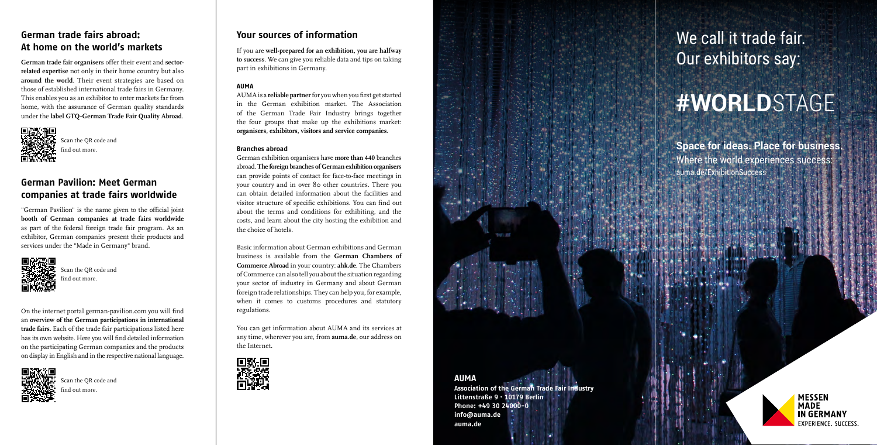# We call it trade fair. Our exhibitors say:

# **#WORLD**STAGE

**Space for ideas. Place for business.** Where the world experiences success: [auma.de/ExhibitionSuccess](http://auma.de/ExhibitionSuccess)



**MESSEN MADE IN GERMANY EXPERIENCE, SUCCESS.** 

# **German trade fairs abroad: At home on the world's markets**

**German trade fair organisers** offer their event and **sectorrelated expertise** not only in their home country but also **around the world**. Their event strategies are based on those of established international trade fairs in Germany. This enables you as an exhibitor to enter markets far from home, with the assurance of German quality standards under the **label GTQ-German Trade Fair Quality Abroad** .



## **Your sources of information**

If you are **well-prepared for an exhibition, you are halfway to success**. We can give you reliable data and tips on taking part in exhibitions in Germany.

#### **AUMA**

AUMA is a **reliable partner** for you when you first get started in the German exhibition market. The Association of the German Trade Fair Industry brings together the four groups that make up the exhibitions market: **organisers, exhibitors, visitors and service companies.** 

#### **Branches abroad**

[Scan the QR code and](https://www.german-pavilion.com/portal/en/home/)  ind out more.

[Scan the QR code and](https://www.auma.de/en/facts-and-figures/german-trade-fairs-abroad)  ind out more.

German exhibition organisers have **more than 440** branches abroad. **The foreign branches of German exhibition organisers** can provide points of contact for face-to-face meetings in your country and in over 80 other countries. There you can obtain detailed information about the facilities and visitor structure of specific exhibitions. You can find out about the terms and conditions for exhibiting, and the costs, and learn about the city hosting the exhibition and the choice of hotels.

Basic information about German exhibitions and German business is available from the **German Chambers of Commerce Abroad** in your country: **[ahk.de](https://www.ahk.de/en)**. The Chambers of Commerce can also tell you about the situation regarding your sector of industry in Germany and about German foreign trade relationships. They can help you, for example, when it comes to customs procedures and statutory regulations.

You can get information about AUMA and its services at any time, wherever you are, from **[auma.de](https://www.auma.de/en)**, our address on the Internet.





### **AUMA**

**Association of the German Trade Fair Industry Littenstraße 9 · 10179 Berlin Phone: +49 30 24000-0 [info@auma.de](mailto:info%40auma.de%20?subject=) [auma.de](https://www.auma.de/en)**

[Scan the QR code and](https://www.auma.de/en/exhibit/public-funding/promotion-abroad)  find out more.

On the internet portal german-pavilion.com you will find an **overview of the German participations in international trade fairs**. Each of the trade fair participations listed here has its own website. Here you will find detailed information on the participating German companies and the products on display in English and in the respective national language.



# **German Pavilion: Meet German companies at trade fairs worldwide**

"German Pavilion" is the name given to the official joint **booth of German companies at trade fairs worldwide** as part of the federal foreign trade fair program. As an exhibitor, German companies present their products and services under the "Made in Germany" brand.